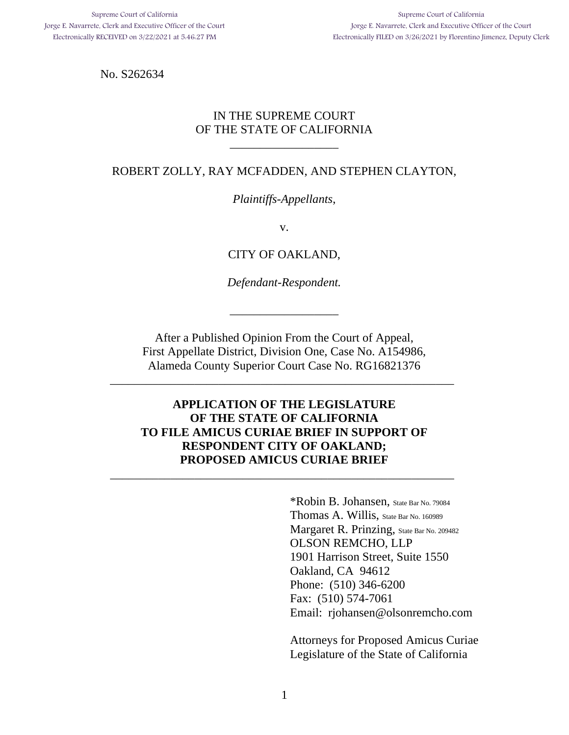No. S262634

## IN THE SUPREME COURT OF THE STATE OF CALIFORNIA

\_\_\_\_\_\_\_\_\_\_\_\_\_\_\_\_\_\_

## ROBERT ZOLLY, RAY MCFADDEN, AND STEPHEN CLAYTON,

## *Plaintiffs-Appellants*,

v.

CITY OF OAKLAND,

*Defendant-Respondent.*

\_\_\_\_\_\_\_\_\_\_\_\_\_\_\_\_\_\_

After a Published Opinion From the Court of Appeal, First Appellate District, Division One, Case No. A154986, Alameda County Superior Court Case No. RG16821376

\_\_\_\_\_\_\_\_\_\_\_\_\_\_\_\_\_\_\_\_\_\_\_\_\_\_\_\_\_\_\_\_\_\_\_\_\_\_\_\_\_\_\_\_\_\_\_\_\_\_\_\_\_\_\_\_\_

## **APPLICATION OF THE LEGISLATURE OF THE STATE OF CALIFORNIA TO FILE AMICUS CURIAE BRIEF IN SUPPORT OF RESPONDENT CITY OF OAKLAND; PROPOSED AMICUS CURIAE BRIEF**

\_\_\_\_\_\_\_\_\_\_\_\_\_\_\_\_\_\_\_\_\_\_\_\_\_\_\_\_\_\_\_\_\_\_\_\_\_\_\_\_\_\_\_\_\_\_\_\_\_\_\_\_\_\_\_\_\_

\*Robin B. Johansen, State Bar No. 79084 Thomas A. Willis, State Bar No. 160989 Margaret R. Prinzing, State Bar No. 209482 OLSON REMCHO, LLP 1901 Harrison Street, Suite 1550 Oakland, CA 94612 Phone: (510) 346-6200 Fax: (510) 574-7061 Email: rjohansen@olsonremcho.com

Attorneys for Proposed Amicus Curiae Legislature of the State of California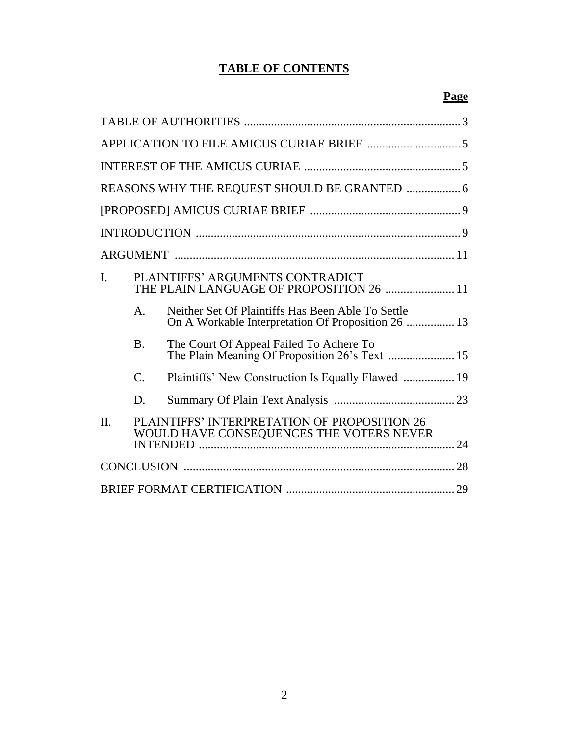# **TABLE OF CONTENTS**

|                |                 | REASONS WHY THE REQUEST SHOULD BE GRANTED  6                                                            |  |  |  |
|----------------|-----------------|---------------------------------------------------------------------------------------------------------|--|--|--|
|                |                 |                                                                                                         |  |  |  |
|                |                 |                                                                                                         |  |  |  |
|                |                 |                                                                                                         |  |  |  |
| $\mathbf{I}$ . |                 | PLAINTIFFS' ARGUMENTS CONTRADICT<br>THE PLAIN LANGUAGE OF PROPOSITION 26  11                            |  |  |  |
|                | $\mathsf{A}$ .  | Neither Set Of Plaintiffs Has Been Able To Settle<br>On A Workable Interpretation Of Proposition 26  13 |  |  |  |
|                | <b>B.</b>       | The Court Of Appeal Failed To Adhere To<br>The Plain Meaning Of Proposition 26's Text  15               |  |  |  |
|                | $\mathcal{C}$ . | Plaintiffs' New Construction Is Equally Flawed  19                                                      |  |  |  |
|                | D.              |                                                                                                         |  |  |  |
| $\Pi$ .        |                 | PLAINTIFFS' INTERPRETATION OF PROPOSITION 26<br>WOULD HAVE CONSEQUENCES THE VOTERS NEVER                |  |  |  |
|                |                 |                                                                                                         |  |  |  |
|                |                 |                                                                                                         |  |  |  |

## **Page**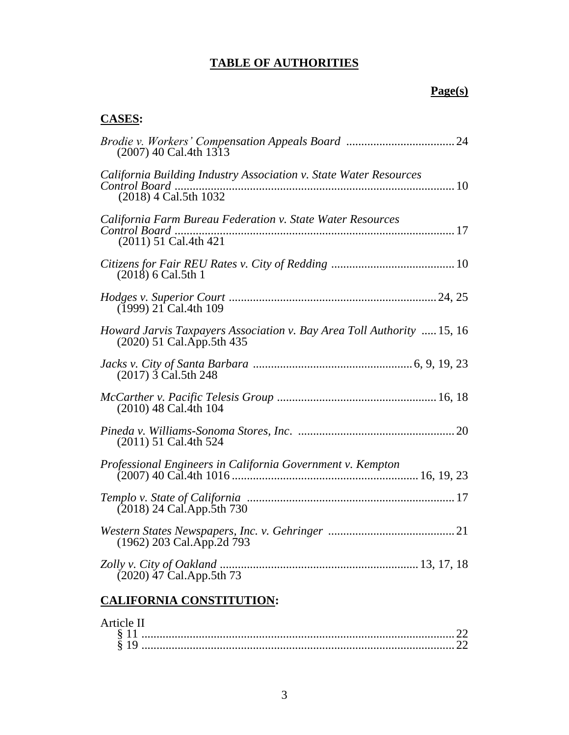# **TABLE OF AUTHORITIES**

## **Page(s)**

# **CASES:**

| $(2007)$ 40 Cal.4th 1313                                                                            |
|-----------------------------------------------------------------------------------------------------|
| California Building Industry Association v. State Water Resources<br>(2018) 4 Cal.5th 1032          |
| California Farm Bureau Federation v. State Water Resources<br>(2011) 51 Cal.4th 421                 |
| $(2018)$ 6 Cal.5th 1                                                                                |
| $(1999)$ 21 Cal.4th 109                                                                             |
| Howard Jarvis Taxpayers Association v. Bay Area Toll Authority  15, 16<br>(2020) 51 Cal.App.5th 435 |
| (2017) 3 Cal.5th 248                                                                                |
| $(2010)$ 48 Cal.4th 104                                                                             |
| $(2011)$ 51 Cal.4th 524                                                                             |
| Professional Engineers in California Government v. Kempton                                          |
| $(2018)$ 24 Cal. App. 5th 730                                                                       |
| (1962) 203 Cal.App.2d 793                                                                           |
| $(2020)$ 47 Cal. App. 5th 73                                                                        |
|                                                                                                     |

# **CALIFORNIA CONSTITUTION:**

## Article II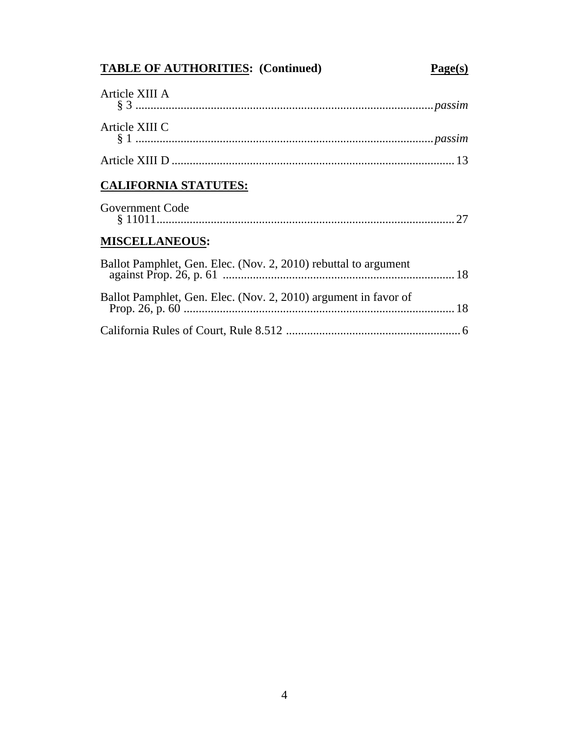# **TABLE OF AUTHORITIES: (Continued) Page(s)**

| Article XIII A |  |
|----------------|--|
| Article XIII C |  |
|                |  |

# **CALIFORNIA STATUTES:**

| Government Code |  |
|-----------------|--|
|                 |  |

# **MISCELLANEOUS:**

| Ballot Pamphlet, Gen. Elec. (Nov. 2, 2010) rebuttal to argument |  |
|-----------------------------------------------------------------|--|
| Ballot Pamphlet, Gen. Elec. (Nov. 2, 2010) argument in favor of |  |
|                                                                 |  |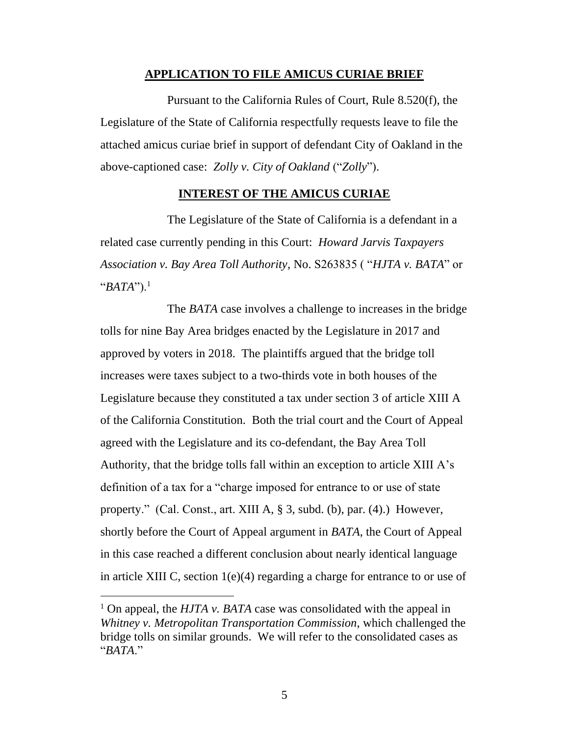#### **APPLICATION TO FILE AMICUS CURIAE BRIEF**

Pursuant to the California Rules of Court, Rule 8.520(f), the Legislature of the State of California respectfully requests leave to file the attached amicus curiae brief in support of defendant City of Oakland in the above-captioned case: *Zolly v. City of Oakland* ("*Zolly*").

## **INTEREST OF THE AMICUS CURIAE**

The Legislature of the State of California is a defendant in a related case currently pending in this Court: *Howard Jarvis Taxpayers Association v. Bay Area Toll Authority*, No. S263835 ( "*HJTA v. BATA*" or "*BATA*").<sup>1</sup>

The *BATA* case involves a challenge to increases in the bridge tolls for nine Bay Area bridges enacted by the Legislature in 2017 and approved by voters in 2018. The plaintiffs argued that the bridge toll increases were taxes subject to a two-thirds vote in both houses of the Legislature because they constituted a tax under section 3 of article XIII A of the California Constitution. Both the trial court and the Court of Appeal agreed with the Legislature and its co-defendant, the Bay Area Toll Authority, that the bridge tolls fall within an exception to article XIII A's definition of a tax for a "charge imposed for entrance to or use of state property." (Cal. Const., art. XIII A, § 3, subd. (b), par. (4).) However, shortly before the Court of Appeal argument in *BATA*, the Court of Appeal in this case reached a different conclusion about nearly identical language in article XIII C, section 1(e)(4) regarding a charge for entrance to or use of

<sup>1</sup> On appeal, the *HJTA v. BATA* case was consolidated with the appeal in *Whitney v. Metropolitan Transportation Commission*, which challenged the bridge tolls on similar grounds. We will refer to the consolidated cases as "*BATA*."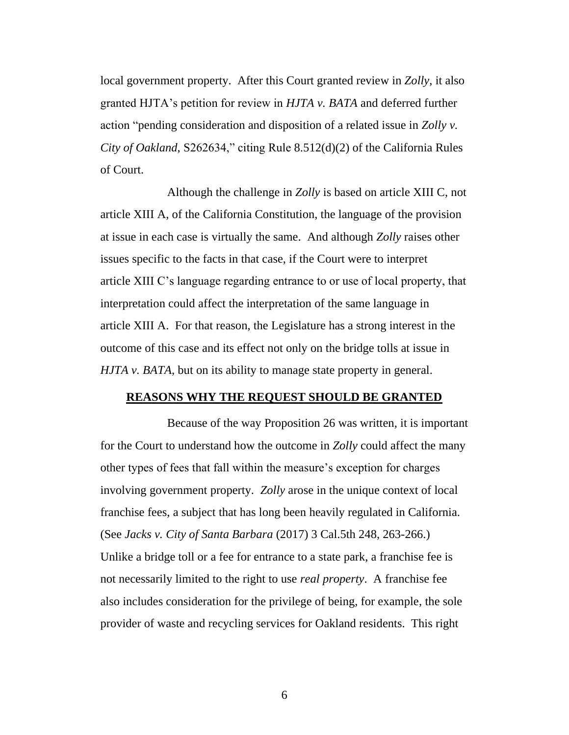local government property. After this Court granted review in *Zolly*, it also granted HJTA's petition for review in *HJTA v. BATA* and deferred further action "pending consideration and disposition of a related issue in *Zolly v. City of Oakland*, S262634," citing Rule 8.512(d)(2) of the California Rules of Court.

Although the challenge in *Zolly* is based on article XIII C, not article XIII A, of the California Constitution, the language of the provision at issue in each case is virtually the same. And although *Zolly* raises other issues specific to the facts in that case, if the Court were to interpret article XIII C's language regarding entrance to or use of local property, that interpretation could affect the interpretation of the same language in article XIII A. For that reason, the Legislature has a strong interest in the outcome of this case and its effect not only on the bridge tolls at issue in *HJTA v. BATA*, but on its ability to manage state property in general.

#### **REASONS WHY THE REQUEST SHOULD BE GRANTED**

Because of the way Proposition 26 was written, it is important for the Court to understand how the outcome in *Zolly* could affect the many other types of fees that fall within the measure's exception for charges involving government property. *Zolly* arose in the unique context of local franchise fees, a subject that has long been heavily regulated in California. (See *Jacks v. City of Santa Barbara* (2017) 3 Cal.5th 248, 263-266.) Unlike a bridge toll or a fee for entrance to a state park, a franchise fee is not necessarily limited to the right to use *real property*. A franchise fee also includes consideration for the privilege of being, for example, the sole provider of waste and recycling services for Oakland residents. This right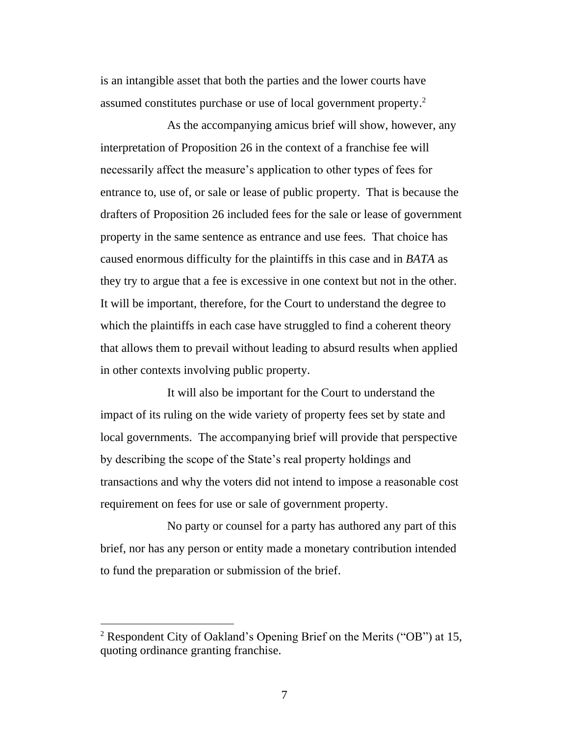is an intangible asset that both the parties and the lower courts have assumed constitutes purchase or use of local government property. 2

As the accompanying amicus brief will show, however, any interpretation of Proposition 26 in the context of a franchise fee will necessarily affect the measure's application to other types of fees for entrance to, use of, or sale or lease of public property. That is because the drafters of Proposition 26 included fees for the sale or lease of government property in the same sentence as entrance and use fees. That choice has caused enormous difficulty for the plaintiffs in this case and in *BATA* as they try to argue that a fee is excessive in one context but not in the other. It will be important, therefore, for the Court to understand the degree to which the plaintiffs in each case have struggled to find a coherent theory that allows them to prevail without leading to absurd results when applied in other contexts involving public property.

It will also be important for the Court to understand the impact of its ruling on the wide variety of property fees set by state and local governments. The accompanying brief will provide that perspective by describing the scope of the State's real property holdings and transactions and why the voters did not intend to impose a reasonable cost requirement on fees for use or sale of government property.

No party or counsel for a party has authored any part of this brief, nor has any person or entity made a monetary contribution intended to fund the preparation or submission of the brief.

<sup>2</sup> Respondent City of Oakland's Opening Brief on the Merits ("OB") at 15, quoting ordinance granting franchise.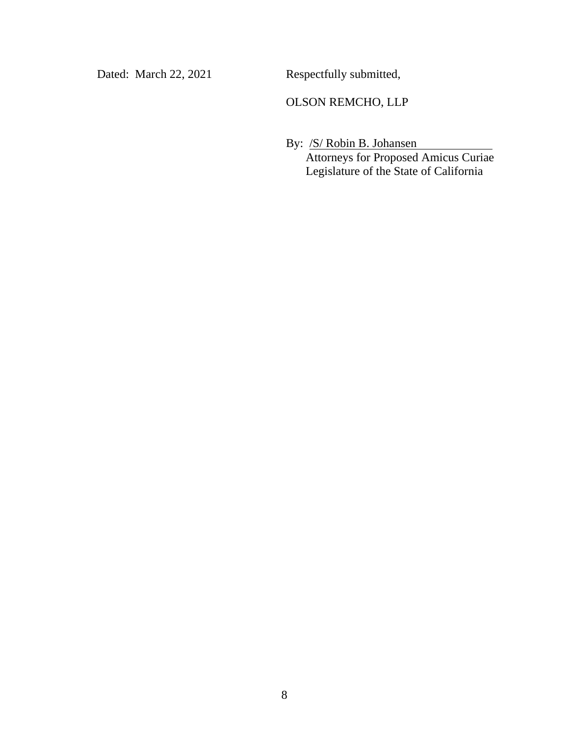Dated: March 22, 2021 Respectfully submitted,

## OLSON REMCHO, LLP

By: <u>/S/ Robin B. Johansen</u> Attorneys for Proposed Amicus Curiae Legislature of the State of California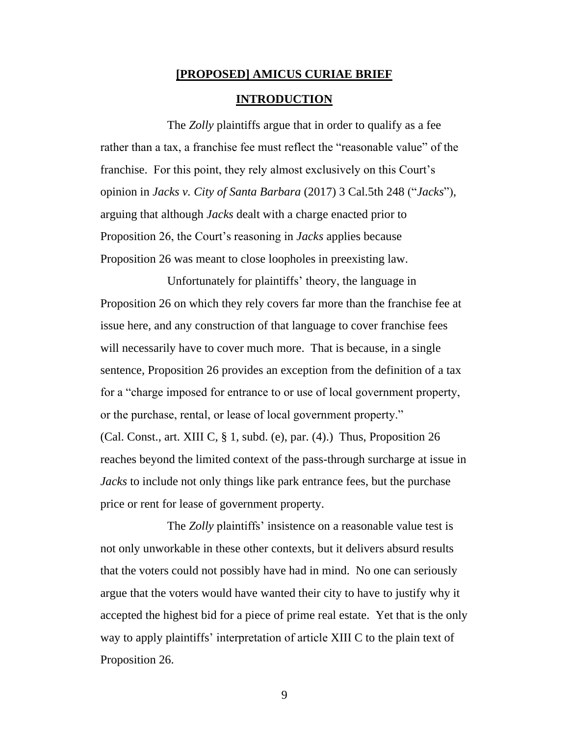# **[PROPOSED] AMICUS CURIAE BRIEF**

#### **INTRODUCTION**

The *Zolly* plaintiffs argue that in order to qualify as a fee rather than a tax, a franchise fee must reflect the "reasonable value" of the franchise. For this point, they rely almost exclusively on this Court's opinion in *Jacks v. City of Santa Barbara* (2017) 3 Cal.5th 248 ("*Jacks*"), arguing that although *Jacks* dealt with a charge enacted prior to Proposition 26, the Court's reasoning in *Jacks* applies because Proposition 26 was meant to close loopholes in preexisting law.

Unfortunately for plaintiffs' theory, the language in Proposition 26 on which they rely covers far more than the franchise fee at issue here, and any construction of that language to cover franchise fees will necessarily have to cover much more. That is because, in a single sentence, Proposition 26 provides an exception from the definition of a tax for a "charge imposed for entrance to or use of local government property, or the purchase, rental, or lease of local government property." (Cal. Const., art. XIII C,  $\S$  1, subd. (e), par. (4).) Thus, Proposition 26 reaches beyond the limited context of the pass-through surcharge at issue in *Jacks* to include not only things like park entrance fees, but the purchase price or rent for lease of government property.

The *Zolly* plaintiffs' insistence on a reasonable value test is not only unworkable in these other contexts, but it delivers absurd results that the voters could not possibly have had in mind. No one can seriously argue that the voters would have wanted their city to have to justify why it accepted the highest bid for a piece of prime real estate. Yet that is the only way to apply plaintiffs' interpretation of article XIII C to the plain text of Proposition 26.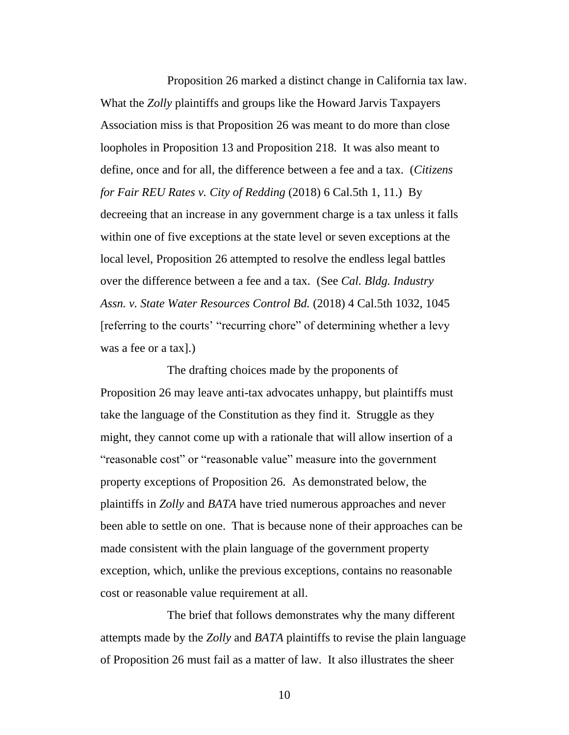Proposition 26 marked a distinct change in California tax law. What the *Zolly* plaintiffs and groups like the Howard Jarvis Taxpayers Association miss is that Proposition 26 was meant to do more than close loopholes in Proposition 13 and Proposition 218. It was also meant to define, once and for all, the difference between a fee and a tax. (*Citizens for Fair REU Rates v. City of Redding* (2018) 6 Cal.5th 1, 11.) By decreeing that an increase in any government charge is a tax unless it falls within one of five exceptions at the state level or seven exceptions at the local level, Proposition 26 attempted to resolve the endless legal battles over the difference between a fee and a tax. (See *Cal. Bldg. Industry Assn. v. State Water Resources Control Bd.* (2018) 4 Cal.5th 1032, 1045 [referring to the courts' "recurring chore" of determining whether a levy was a fee or a tax].)

The drafting choices made by the proponents of Proposition 26 may leave anti-tax advocates unhappy, but plaintiffs must take the language of the Constitution as they find it. Struggle as they might, they cannot come up with a rationale that will allow insertion of a "reasonable cost" or "reasonable value" measure into the government property exceptions of Proposition 26. As demonstrated below, the plaintiffs in *Zolly* and *BATA* have tried numerous approaches and never been able to settle on one. That is because none of their approaches can be made consistent with the plain language of the government property exception, which, unlike the previous exceptions, contains no reasonable cost or reasonable value requirement at all.

The brief that follows demonstrates why the many different attempts made by the *Zolly* and *BATA* plaintiffs to revise the plain language of Proposition 26 must fail as a matter of law. It also illustrates the sheer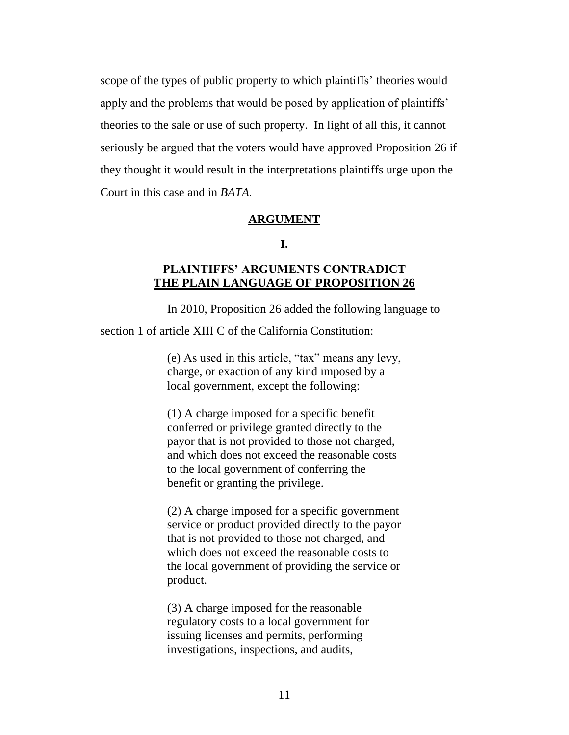scope of the types of public property to which plaintiffs' theories would apply and the problems that would be posed by application of plaintiffs' theories to the sale or use of such property. In light of all this, it cannot seriously be argued that the voters would have approved Proposition 26 if they thought it would result in the interpretations plaintiffs urge upon the Court in this case and in *BATA.*

#### **ARGUMENT**

#### **I.**

## **PLAINTIFFS' ARGUMENTS CONTRADICT THE PLAIN LANGUAGE OF PROPOSITION 26**

In 2010, Proposition 26 added the following language to

section 1 of article XIII C of the California Constitution:

(e) As used in this article, "tax" means any levy, charge, or exaction of any kind imposed by a local government, except the following:

(1) A charge imposed for a specific benefit conferred or privilege granted directly to the payor that is not provided to those not charged, and which does not exceed the reasonable costs to the local government of conferring the benefit or granting the privilege.

(2) A charge imposed for a specific government service or product provided directly to the payor that is not provided to those not charged, and which does not exceed the reasonable costs to the local government of providing the service or product.

(3) A charge imposed for the reasonable regulatory costs to a local government for issuing licenses and permits, performing investigations, inspections, and audits,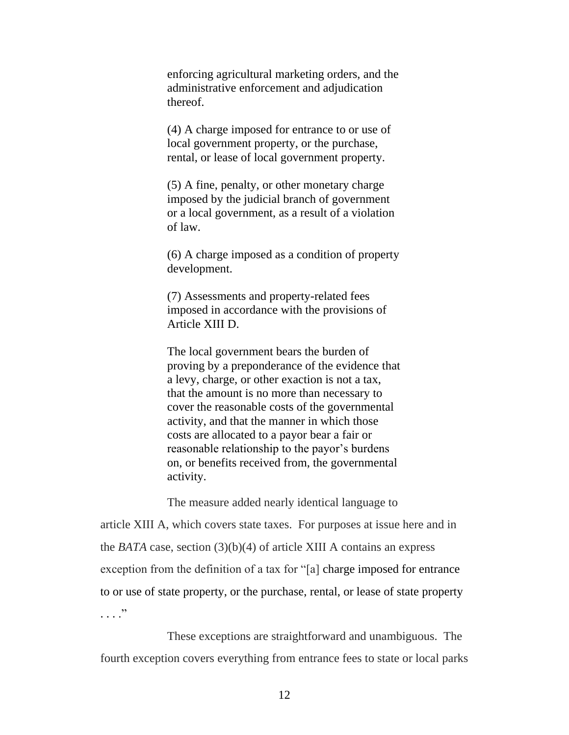enforcing agricultural marketing orders, and the administrative enforcement and adjudication thereof.

(4) A charge imposed for entrance to or use of local government property, or the purchase, rental, or lease of local government property.

(5) A fine, penalty, or other monetary charge imposed by the judicial branch of government or a local government, as a result of a violation of law.

(6) A charge imposed as a condition of property development.

(7) Assessments and property-related fees imposed in accordance with the provisions of Article XIII D.

The local government bears the burden of proving by a preponderance of the evidence that a levy, charge, or other exaction is not a tax, that the amount is no more than necessary to cover the reasonable costs of the governmental activity, and that the manner in which those costs are allocated to a payor bear a fair or reasonable relationship to the payor's burdens on, or benefits received from, the governmental activity.

The measure added nearly identical language to

article XIII A, which covers state taxes. For purposes at issue here and in the *BATA* case, section (3)(b)(4) of article XIII A contains an express exception from the definition of a tax for "[a] charge imposed for entrance to or use of state property, or the purchase, rental, or lease of state property . . . ."

These exceptions are straightforward and unambiguous. The fourth exception covers everything from entrance fees to state or local parks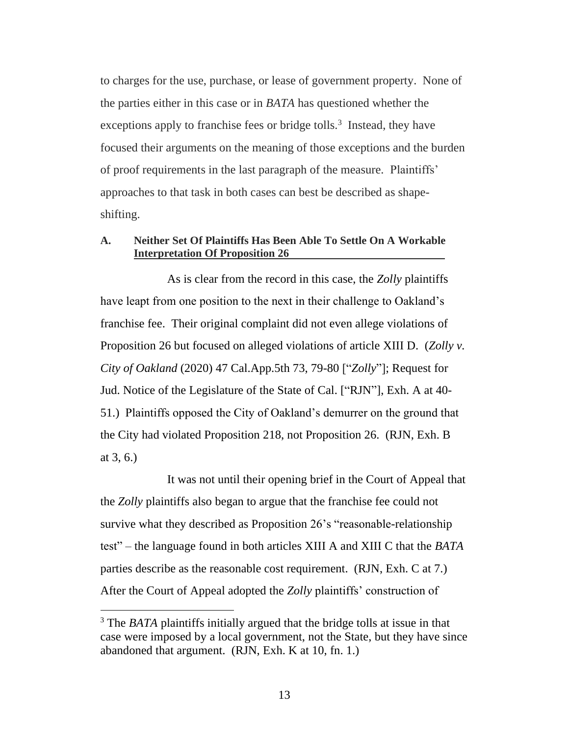to charges for the use, purchase, or lease of government property. None of the parties either in this case or in *BATA* has questioned whether the exceptions apply to franchise fees or bridge tolls.<sup>3</sup> Instead, they have focused their arguments on the meaning of those exceptions and the burden of proof requirements in the last paragraph of the measure. Plaintiffs' approaches to that task in both cases can best be described as shapeshifting.

## **A. Neither Set Of Plaintiffs Has Been Able To Settle On A Workable Interpretation Of Proposition 26**

As is clear from the record in this case, the *Zolly* plaintiffs have leapt from one position to the next in their challenge to Oakland's franchise fee. Their original complaint did not even allege violations of Proposition 26 but focused on alleged violations of article XIII D. (*Zolly v. City of Oakland* (2020) 47 Cal.App.5th 73, 79-80 ["*Zolly*"]; Request for Jud. Notice of the Legislature of the State of Cal. ["RJN"], Exh. A at 40- 51.) Plaintiffs opposed the City of Oakland's demurrer on the ground that the City had violated Proposition 218, not Proposition 26. (RJN, Exh. B at 3, 6.)

It was not until their opening brief in the Court of Appeal that the *Zolly* plaintiffs also began to argue that the franchise fee could not survive what they described as Proposition 26's "reasonable-relationship test" – the language found in both articles XIII A and XIII C that the *BATA* parties describe as the reasonable cost requirement. (RJN, Exh. C at 7.) After the Court of Appeal adopted the *Zolly* plaintiffs' construction of

<sup>3</sup> The *BATA* plaintiffs initially argued that the bridge tolls at issue in that case were imposed by a local government, not the State, but they have since abandoned that argument. (RJN, Exh. K at 10, fn. 1.)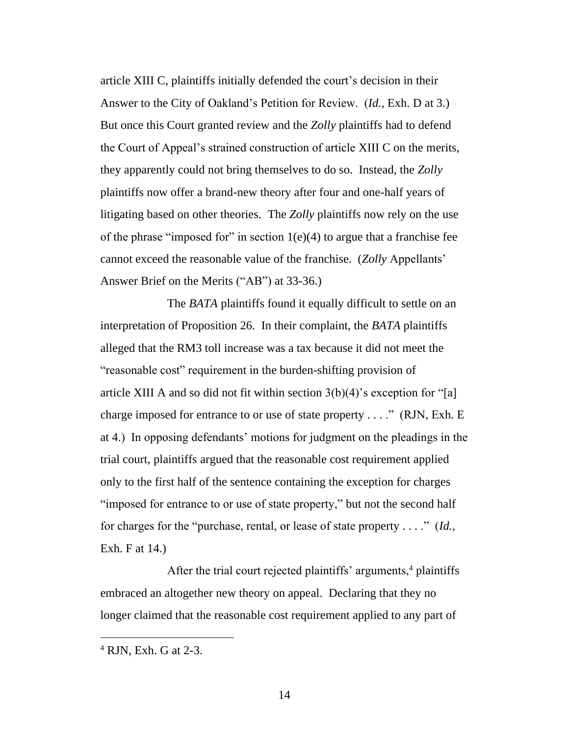article XIII C, plaintiffs initially defended the court's decision in their Answer to the City of Oakland's Petition for Review. (*Id.*, Exh. D at 3.) But once this Court granted review and the *Zolly* plaintiffs had to defend the Court of Appeal's strained construction of article XIII C on the merits, they apparently could not bring themselves to do so. Instead, the *Zolly* plaintiffs now offer a brand-new theory after four and one-half years of litigating based on other theories. The *Zolly* plaintiffs now rely on the use of the phrase "imposed for" in section  $1(e)(4)$  to argue that a franchise fee cannot exceed the reasonable value of the franchise. (*Zolly* Appellants' Answer Brief on the Merits ("AB") at 33-36.)

The *BATA* plaintiffs found it equally difficult to settle on an interpretation of Proposition 26. In their complaint, the *BATA* plaintiffs alleged that the RM3 toll increase was a tax because it did not meet the "reasonable cost" requirement in the burden-shifting provision of article XIII A and so did not fit within section  $3(b)(4)$ 's exception for "[a] charge imposed for entrance to or use of state property . . . ." (RJN, Exh. E at 4.) In opposing defendants' motions for judgment on the pleadings in the trial court, plaintiffs argued that the reasonable cost requirement applied only to the first half of the sentence containing the exception for charges "imposed for entrance to or use of state property," but not the second half for charges for the "purchase, rental, or lease of state property . . . ." (*Id.*, Exh. F at 14.)

After the trial court rejected plaintiffs' arguments, $4$  plaintiffs embraced an altogether new theory on appeal. Declaring that they no longer claimed that the reasonable cost requirement applied to any part of

<sup>4</sup> RJN, Exh. G at 2-3.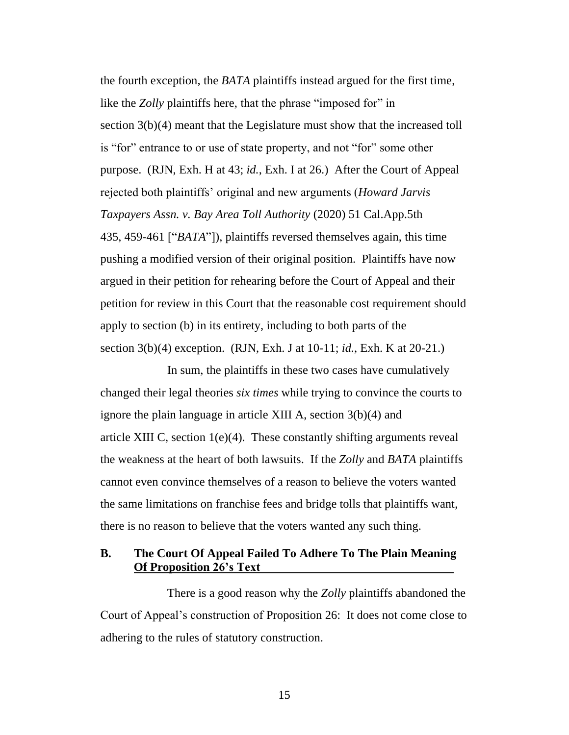the fourth exception, the *BATA* plaintiffs instead argued for the first time, like the *Zolly* plaintiffs here, that the phrase "imposed for" in section 3(b)(4) meant that the Legislature must show that the increased toll is "for" entrance to or use of state property, and not "for" some other purpose. (RJN, Exh. H at 43; *id.*, Exh. I at 26.) After the Court of Appeal rejected both plaintiffs' original and new arguments (*Howard Jarvis Taxpayers Assn. v. Bay Area Toll Authority* (2020) 51 Cal.App.5th 435, 459-461 ["*BATA*"]), plaintiffs reversed themselves again, this time pushing a modified version of their original position. Plaintiffs have now argued in their petition for rehearing before the Court of Appeal and their petition for review in this Court that the reasonable cost requirement should apply to section (b) in its entirety, including to both parts of the section 3(b)(4) exception. (RJN, Exh. J at 10-11; *id.*, Exh. K at 20-21.)

In sum, the plaintiffs in these two cases have cumulatively changed their legal theories *six times* while trying to convince the courts to ignore the plain language in article XIII A, section 3(b)(4) and article XIII C, section 1(e)(4). These constantly shifting arguments reveal the weakness at the heart of both lawsuits. If the *Zolly* and *BATA* plaintiffs cannot even convince themselves of a reason to believe the voters wanted the same limitations on franchise fees and bridge tolls that plaintiffs want, there is no reason to believe that the voters wanted any such thing.

## **B. The Court Of Appeal Failed To Adhere To The Plain Meaning Of Proposition 26's Text**

There is a good reason why the *Zolly* plaintiffs abandoned the Court of Appeal's construction of Proposition 26: It does not come close to adhering to the rules of statutory construction.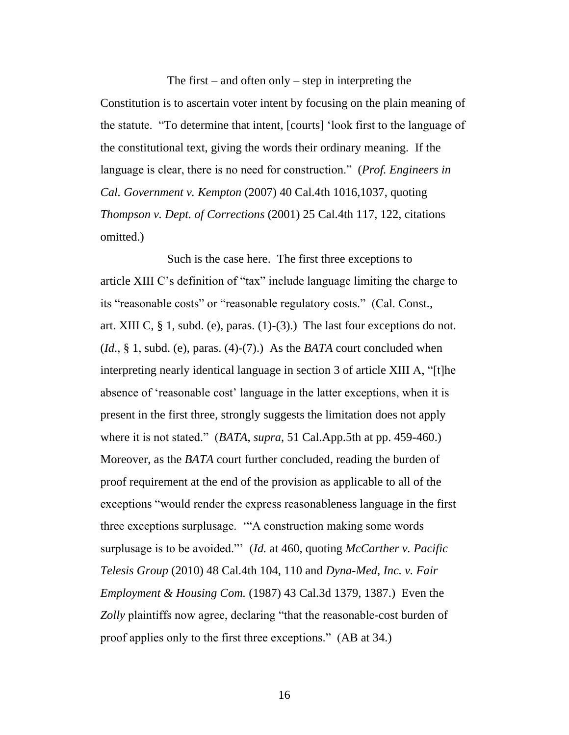The first – and often only – step in interpreting the Constitution is to ascertain voter intent by focusing on the plain meaning of the statute. "To determine that intent, [courts] 'look first to the language of the constitutional text, giving the words their ordinary meaning. If the language is clear, there is no need for construction." (*Prof. Engineers in Cal. Government v. Kempton* (2007) 40 Cal.4th 1016,1037, quoting *Thompson v. Dept. of Corrections* (2001) 25 Cal.4th 117, 122, citations omitted.)

Such is the case here. The first three exceptions to article XIII C's definition of "tax" include language limiting the charge to its "reasonable costs" or "reasonable regulatory costs." (Cal. Const., art. XIII C,  $\S$  1, subd. (e), paras. (1)-(3).) The last four exceptions do not. (*Id*., § 1, subd. (e), paras. (4)-(7).) As the *BATA* court concluded when interpreting nearly identical language in section 3 of article XIII A, "[t]he absence of 'reasonable cost' language in the latter exceptions, when it is present in the first three, strongly suggests the limitation does not apply where it is not stated." (*BATA*, *supra*, 51 Cal.App.5th at pp. 459-460.) Moreover, as the *BATA* court further concluded, reading the burden of proof requirement at the end of the provision as applicable to all of the exceptions "would render the express reasonableness language in the first three exceptions surplusage. '"A construction making some words surplusage is to be avoided."' (*Id.* at 460, quoting *McCarther v. Pacific Telesis Group* (2010) 48 Cal.4th 104, 110 and *Dyna-Med, Inc. v. Fair Employment & Housing Com.* (1987) 43 Cal.3d 1379, 1387.) Even the *Zolly* plaintiffs now agree, declaring "that the reasonable-cost burden of proof applies only to the first three exceptions." (AB at 34.)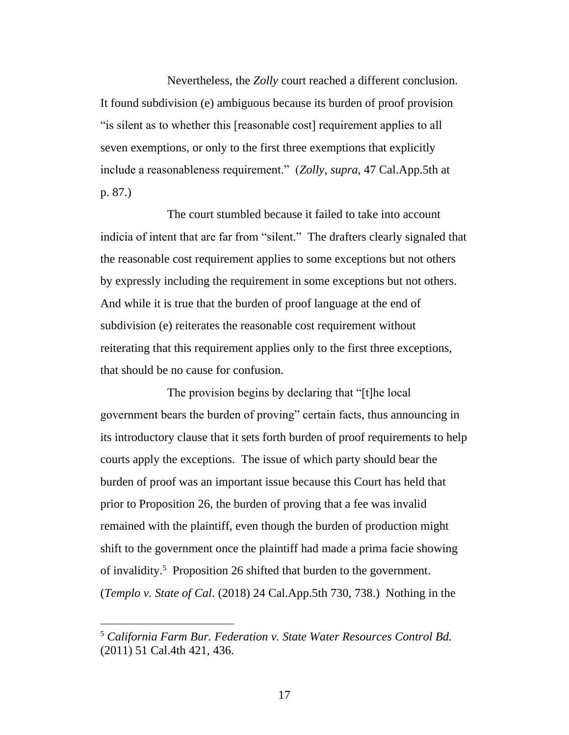Nevertheless, the *Zolly* court reached a different conclusion. It found subdivision (e) ambiguous because its burden of proof provision "is silent as to whether this [reasonable cost] requirement applies to all seven exemptions, or only to the first three exemptions that explicitly include a reasonableness requirement." (*Zolly*, *supra*, 47 Cal.App.5th at p. 87.)

The court stumbled because it failed to take into account indicia of intent that are far from "silent." The drafters clearly signaled that the reasonable cost requirement applies to some exceptions but not others by expressly including the requirement in some exceptions but not others. And while it is true that the burden of proof language at the end of subdivision (e) reiterates the reasonable cost requirement without reiterating that this requirement applies only to the first three exceptions, that should be no cause for confusion.

The provision begins by declaring that "[t]he local government bears the burden of proving" certain facts, thus announcing in its introductory clause that it sets forth burden of proof requirements to help courts apply the exceptions. The issue of which party should bear the burden of proof was an important issue because this Court has held that prior to Proposition 26, the burden of proving that a fee was invalid remained with the plaintiff, even though the burden of production might shift to the government once the plaintiff had made a prima facie showing of invalidity.<sup>5</sup> Proposition 26 shifted that burden to the government. (*Templo v. State of Cal.* (2018) 24 Cal.App.5th 730, 738.) Nothing in the

<sup>5</sup> *California Farm Bur. Federation v. State Water Resources Control Bd.*  (2011) 51 Cal.4th 421, 436.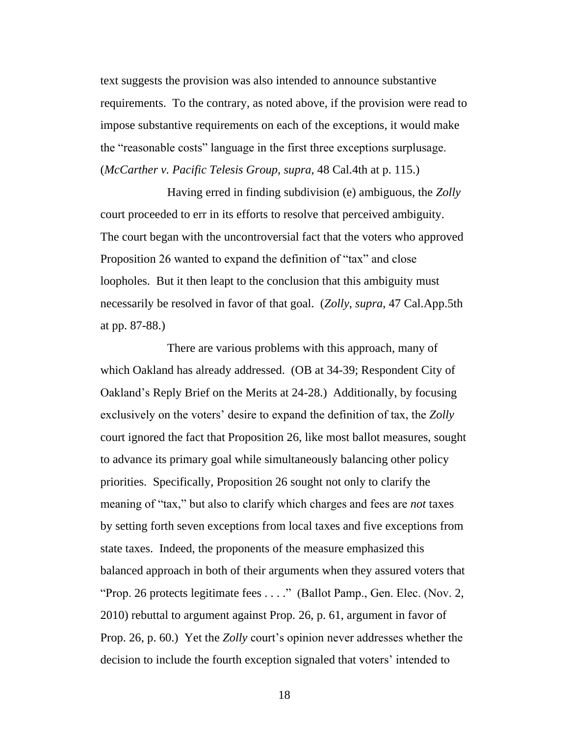text suggests the provision was also intended to announce substantive requirements. To the contrary, as noted above, if the provision were read to impose substantive requirements on each of the exceptions, it would make the "reasonable costs" language in the first three exceptions surplusage. (*McCarther v. Pacific Telesis Group*, *supra*, 48 Cal.4th at p. 115.)

Having erred in finding subdivision (e) ambiguous, the *Zolly* court proceeded to err in its efforts to resolve that perceived ambiguity. The court began with the uncontroversial fact that the voters who approved Proposition 26 wanted to expand the definition of "tax" and close loopholes. But it then leapt to the conclusion that this ambiguity must necessarily be resolved in favor of that goal. (*Zolly*, *supra*, 47 Cal.App.5th at pp. 87-88.)

There are various problems with this approach, many of which Oakland has already addressed. (OB at 34-39; Respondent City of Oakland's Reply Brief on the Merits at 24-28.) Additionally, by focusing exclusively on the voters' desire to expand the definition of tax, the *Zolly* court ignored the fact that Proposition 26, like most ballot measures, sought to advance its primary goal while simultaneously balancing other policy priorities. Specifically, Proposition 26 sought not only to clarify the meaning of "tax," but also to clarify which charges and fees are *not* taxes by setting forth seven exceptions from local taxes and five exceptions from state taxes. Indeed, the proponents of the measure emphasized this balanced approach in both of their arguments when they assured voters that "Prop. 26 protects legitimate fees . . . ." (Ballot Pamp., Gen. Elec. (Nov. 2, 2010) rebuttal to argument against Prop. 26, p. 61, argument in favor of Prop. 26, p. 60.) Yet the *Zolly* court's opinion never addresses whether the decision to include the fourth exception signaled that voters' intended to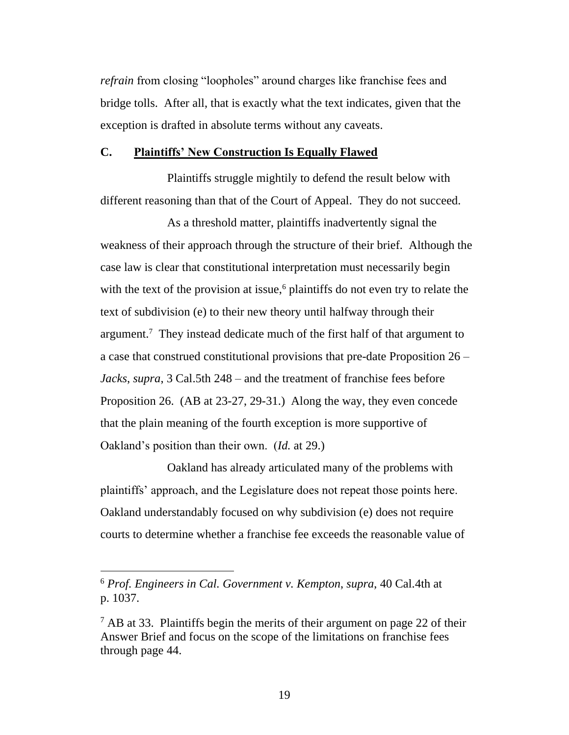*refrain* from closing "loopholes" around charges like franchise fees and bridge tolls. After all, that is exactly what the text indicates, given that the exception is drafted in absolute terms without any caveats.

#### **C. Plaintiffs' New Construction Is Equally Flawed**

Plaintiffs struggle mightily to defend the result below with different reasoning than that of the Court of Appeal. They do not succeed.

As a threshold matter, plaintiffs inadvertently signal the weakness of their approach through the structure of their brief. Although the case law is clear that constitutional interpretation must necessarily begin with the text of the provision at issue,<sup>6</sup> plaintiffs do not even try to relate the text of subdivision (e) to their new theory until halfway through their argument.<sup>7</sup> They instead dedicate much of the first half of that argument to a case that construed constitutional provisions that pre-date Proposition 26 – *Jacks*, *supra*, 3 Cal.5th 248 – and the treatment of franchise fees before Proposition 26. (AB at 23-27, 29-31.) Along the way, they even concede that the plain meaning of the fourth exception is more supportive of Oakland's position than their own. (*Id.* at 29.)

Oakland has already articulated many of the problems with plaintiffs' approach, and the Legislature does not repeat those points here. Oakland understandably focused on why subdivision (e) does not require courts to determine whether a franchise fee exceeds the reasonable value of

<sup>6</sup> *Prof. Engineers in Cal. Government v. Kempton*, *supra*, 40 Cal.4th at p. 1037.

 $<sup>7</sup>$  AB at 33. Plaintiffs begin the merits of their argument on page 22 of their</sup> Answer Brief and focus on the scope of the limitations on franchise fees through page 44.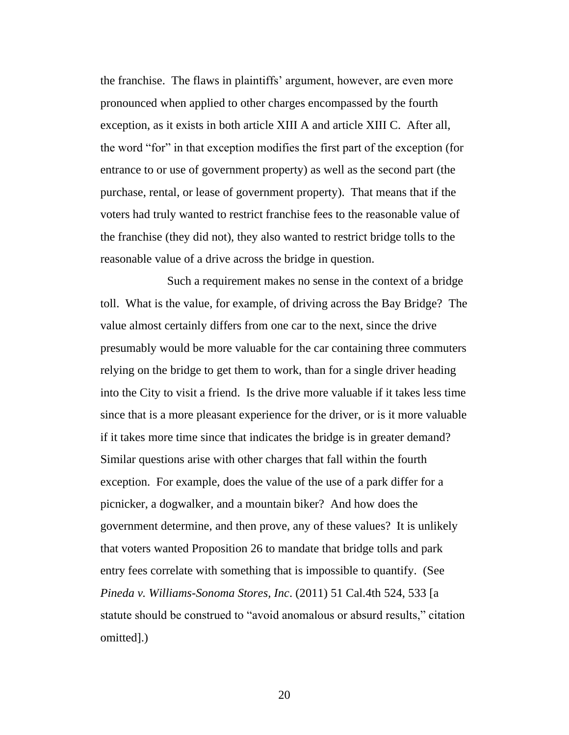the franchise. The flaws in plaintiffs' argument, however, are even more pronounced when applied to other charges encompassed by the fourth exception, as it exists in both article XIII A and article XIII C. After all, the word "for" in that exception modifies the first part of the exception (for entrance to or use of government property) as well as the second part (the purchase, rental, or lease of government property). That means that if the voters had truly wanted to restrict franchise fees to the reasonable value of the franchise (they did not), they also wanted to restrict bridge tolls to the reasonable value of a drive across the bridge in question.

Such a requirement makes no sense in the context of a bridge toll. What is the value, for example, of driving across the Bay Bridge? The value almost certainly differs from one car to the next, since the drive presumably would be more valuable for the car containing three commuters relying on the bridge to get them to work, than for a single driver heading into the City to visit a friend. Is the drive more valuable if it takes less time since that is a more pleasant experience for the driver, or is it more valuable if it takes more time since that indicates the bridge is in greater demand? Similar questions arise with other charges that fall within the fourth exception. For example, does the value of the use of a park differ for a picnicker, a dogwalker, and a mountain biker? And how does the government determine, and then prove, any of these values? It is unlikely that voters wanted Proposition 26 to mandate that bridge tolls and park entry fees correlate with something that is impossible to quantify. (See *Pineda v. Williams-Sonoma Stores, Inc*. (2011) 51 Cal.4th 524, 533 [a statute should be construed to "avoid anomalous or absurd results," citation omitted].)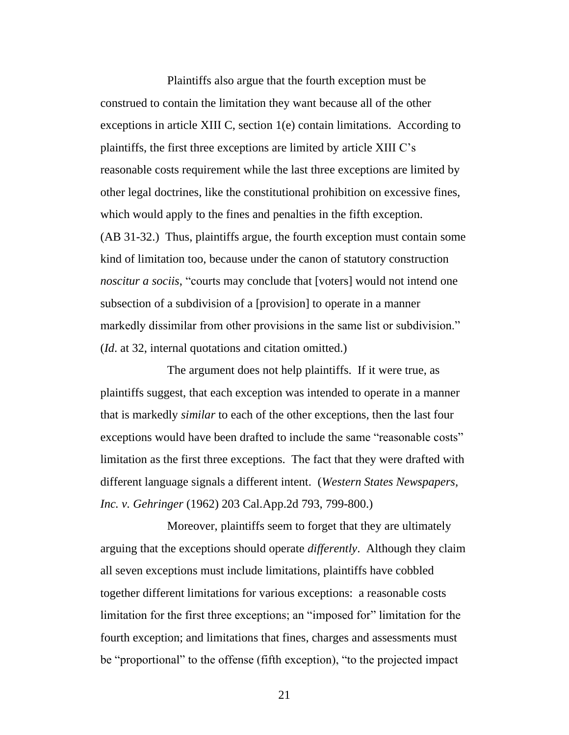Plaintiffs also argue that the fourth exception must be construed to contain the limitation they want because all of the other exceptions in article XIII C, section 1(e) contain limitations. According to plaintiffs, the first three exceptions are limited by article XIII C's reasonable costs requirement while the last three exceptions are limited by other legal doctrines, like the constitutional prohibition on excessive fines, which would apply to the fines and penalties in the fifth exception. (AB 31-32.) Thus, plaintiffs argue, the fourth exception must contain some kind of limitation too, because under the canon of statutory construction *noscitur a sociis*, "courts may conclude that [voters] would not intend one subsection of a subdivision of a [provision] to operate in a manner markedly dissimilar from other provisions in the same list or subdivision." (*Id*. at 32, internal quotations and citation omitted.)

The argument does not help plaintiffs. If it were true, as plaintiffs suggest, that each exception was intended to operate in a manner that is markedly *similar* to each of the other exceptions, then the last four exceptions would have been drafted to include the same "reasonable costs" limitation as the first three exceptions. The fact that they were drafted with different language signals a different intent. (*Western States Newspapers, Inc. v. Gehringer* (1962) 203 Cal.App.2d 793, 799-800.)

Moreover, plaintiffs seem to forget that they are ultimately arguing that the exceptions should operate *differently*. Although they claim all seven exceptions must include limitations, plaintiffs have cobbled together different limitations for various exceptions: a reasonable costs limitation for the first three exceptions; an "imposed for" limitation for the fourth exception; and limitations that fines, charges and assessments must be "proportional" to the offense (fifth exception), "to the projected impact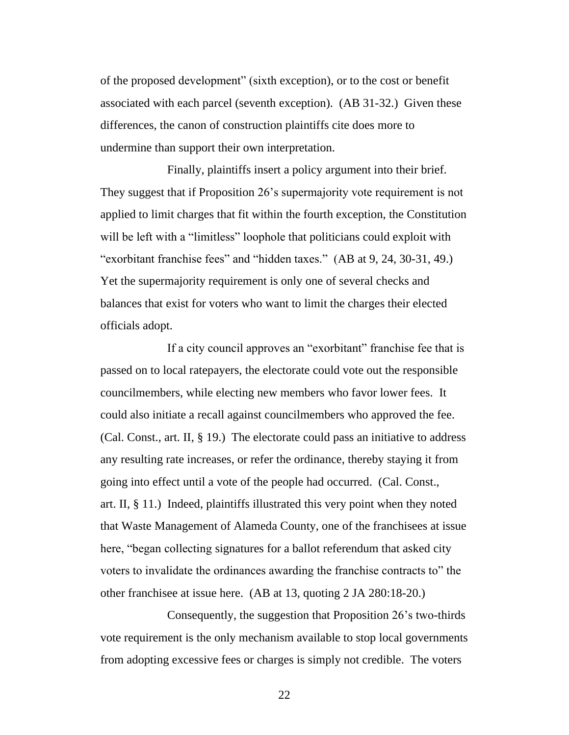of the proposed development" (sixth exception), or to the cost or benefit associated with each parcel (seventh exception). (AB 31-32.) Given these differences, the canon of construction plaintiffs cite does more to undermine than support their own interpretation.

Finally, plaintiffs insert a policy argument into their brief. They suggest that if Proposition 26's supermajority vote requirement is not applied to limit charges that fit within the fourth exception, the Constitution will be left with a "limitless" loophole that politicians could exploit with "exorbitant franchise fees" and "hidden taxes." (AB at 9, 24, 30-31, 49.) Yet the supermajority requirement is only one of several checks and balances that exist for voters who want to limit the charges their elected officials adopt.

If a city council approves an "exorbitant" franchise fee that is passed on to local ratepayers, the electorate could vote out the responsible councilmembers, while electing new members who favor lower fees. It could also initiate a recall against councilmembers who approved the fee. (Cal. Const., art. II, § 19.) The electorate could pass an initiative to address any resulting rate increases, or refer the ordinance, thereby staying it from going into effect until a vote of the people had occurred. (Cal. Const., art. II, § 11.) Indeed, plaintiffs illustrated this very point when they noted that Waste Management of Alameda County, one of the franchisees at issue here, "began collecting signatures for a ballot referendum that asked city voters to invalidate the ordinances awarding the franchise contracts to" the other franchisee at issue here. (AB at 13, quoting 2 JA 280:18-20.)

Consequently, the suggestion that Proposition 26's two-thirds vote requirement is the only mechanism available to stop local governments from adopting excessive fees or charges is simply not credible. The voters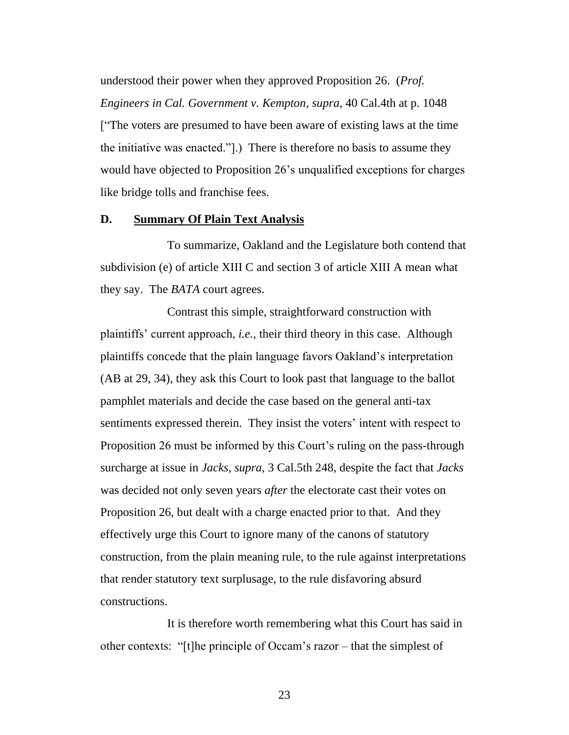understood their power when they approved Proposition 26. (*Prof. Engineers in Cal. Government v. Kempton*, *supra*, 40 Cal.4th at p. 1048 ["The voters are presumed to have been aware of existing laws at the time the initiative was enacted."].) There is therefore no basis to assume they would have objected to Proposition 26's unqualified exceptions for charges like bridge tolls and franchise fees.

## **D. Summary Of Plain Text Analysis**

To summarize, Oakland and the Legislature both contend that subdivision (e) of article XIII C and section 3 of article XIII A mean what they say. The *BATA* court agrees.

Contrast this simple, straightforward construction with plaintiffs' current approach, *i.e.*, their third theory in this case. Although plaintiffs concede that the plain language favors Oakland's interpretation (AB at 29, 34), they ask this Court to look past that language to the ballot pamphlet materials and decide the case based on the general anti-tax sentiments expressed therein. They insist the voters' intent with respect to Proposition 26 must be informed by this Court's ruling on the pass-through surcharge at issue in *Jacks*, *supra*, 3 Cal.5th 248, despite the fact that *Jacks* was decided not only seven years *after* the electorate cast their votes on Proposition 26, but dealt with a charge enacted prior to that. And they effectively urge this Court to ignore many of the canons of statutory construction, from the plain meaning rule, to the rule against interpretations that render statutory text surplusage, to the rule disfavoring absurd constructions.

It is therefore worth remembering what this Court has said in other contexts: "[t]he principle of Occam's razor – that the simplest of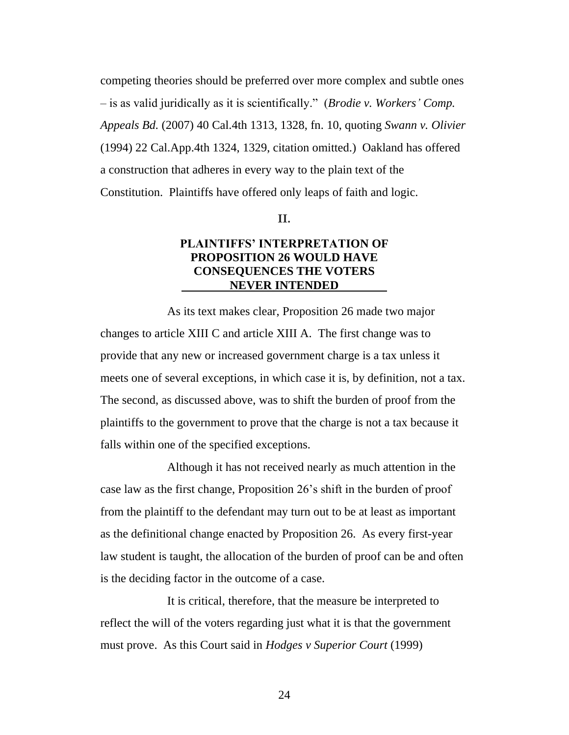competing theories should be preferred over more complex and subtle ones – is as valid juridically as it is scientifically." (*Brodie v. Workers' Comp. Appeals Bd.* (2007) 40 Cal.4th 1313, 1328, fn. 10, quoting *Swann v. Olivier* (1994) 22 Cal.App.4th 1324, 1329, citation omitted.) Oakland has offered a construction that adheres in every way to the plain text of the Constitution. Plaintiffs have offered only leaps of faith and logic.

#### **II.**

## **PLAINTIFFS' INTERPRETATION OF PROPOSITION 26 WOULD HAVE CONSEQUENCES THE VOTERS NEVER INTENDED**

As its text makes clear, Proposition 26 made two major changes to article XIII C and article XIII A. The first change was to provide that any new or increased government charge is a tax unless it meets one of several exceptions, in which case it is, by definition, not a tax. The second, as discussed above, was to shift the burden of proof from the plaintiffs to the government to prove that the charge is not a tax because it falls within one of the specified exceptions.

Although it has not received nearly as much attention in the case law as the first change, Proposition 26's shift in the burden of proof from the plaintiff to the defendant may turn out to be at least as important as the definitional change enacted by Proposition 26. As every first-year law student is taught, the allocation of the burden of proof can be and often is the deciding factor in the outcome of a case.

It is critical, therefore, that the measure be interpreted to reflect the will of the voters regarding just what it is that the government must prove. As this Court said in *Hodges v Superior Court* (1999)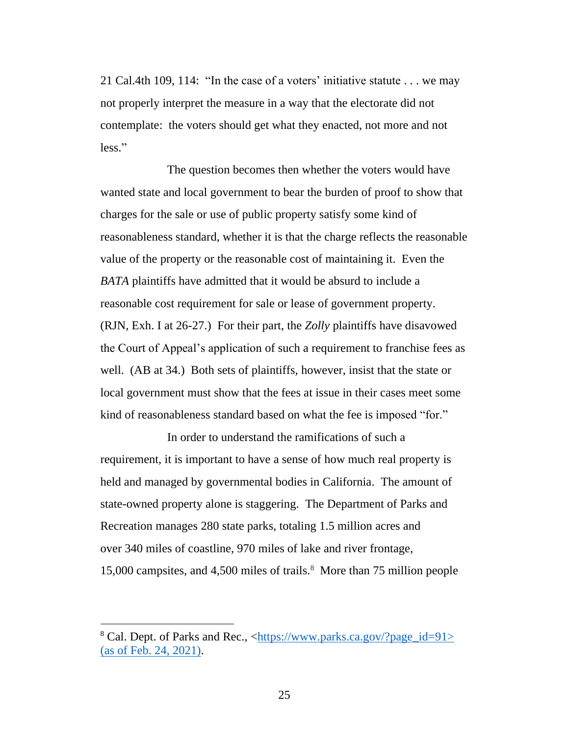21 Cal.4th 109, 114: "In the case of a voters' initiative statute . . . we may not properly interpret the measure in a way that the electorate did not contemplate: the voters should get what they enacted, not more and not less."

The question becomes then whether the voters would have wanted state and local government to bear the burden of proof to show that charges for the sale or use of public property satisfy some kind of reasonableness standard, whether it is that the charge reflects the reasonable value of the property or the reasonable cost of maintaining it. Even the *BATA* plaintiffs have admitted that it would be absurd to include a reasonable cost requirement for sale or lease of government property. (RJN, Exh. I at 26-27.) For their part, the *Zolly* plaintiffs have disavowed the Court of Appeal's application of such a requirement to franchise fees as well. (AB at 34.) Both sets of plaintiffs, however, insist that the state or local government must show that the fees at issue in their cases meet some kind of reasonableness standard based on what the fee is imposed "for."

In order to understand the ramifications of such a requirement, it is important to have a sense of how much real property is held and managed by governmental bodies in California. The amount of state-owned property alone is staggering. The Department of Parks and Recreation manages 280 state parks, totaling 1.5 million acres and over 340 miles of coastline, 970 miles of lake and river frontage, 15,000 campsites, and 4,500 miles of trails.<sup>8</sup> More than 75 million people

<sup>8</sup> Cal. Dept. of Parks and Rec., [<https://www.parks.ca.gov/?page\\_id=91>](https://www.parks.ca.gov/?page_id=91) (as of Feb. 24, 2021).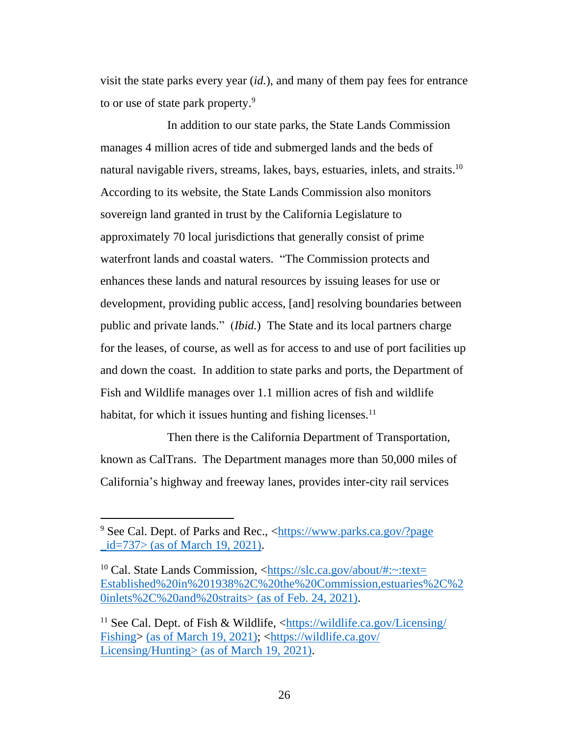visit the state parks every year (*id.*), and many of them pay fees for entrance to or use of state park property.<sup>9</sup>

In addition to our state parks, the State Lands Commission manages 4 million acres of tide and submerged lands and the beds of natural navigable rivers, streams, lakes, bays, estuaries, inlets, and straits.<sup>10</sup> According to its website, the State Lands Commission also monitors sovereign land granted in trust by the California Legislature to approximately 70 local jurisdictions that generally consist of prime waterfront lands and coastal waters. "The Commission protects and enhances these lands and natural resources by issuing leases for use or development, providing public access, [and] resolving boundaries between public and private lands." (*Ibid.*) The State and its local partners charge for the leases, of course, as well as for access to and use of port facilities up and down the coast. In addition to state parks and ports, the Department of Fish and Wildlife manages over 1.1 million acres of fish and wildlife habitat, for which it issues hunting and fishing licenses.<sup>11</sup>

Then there is the California Department of Transportation, known as CalTrans. The Department manages more than 50,000 miles of California's highway and freeway lanes, provides inter-city rail services

<sup>9</sup> See Cal. Dept. of Parks and Rec., [<https://www.parks.ca.gov/?page](https://www.parks.ca.gov/?page_id=737)  $_id=737$  (as of March 19, 2021).

<sup>&</sup>lt;sup>10</sup> Cal. State Lands Commission,  $\langle \frac{https://slc.ca.gov/about/\#:~:textext=}{$ [Established%20in%201938%2C%20the%20Commission,estuaries%2C%2](https://slc.ca.gov/about/#:~:text=Established%20in%201938%2C%20the%20Commission,estuaries%2C%20inlets%2C%20and%20straits) [0inlets%2C%20and%20straits>](https://slc.ca.gov/about/#:~:text=Established%20in%201938%2C%20the%20Commission,estuaries%2C%20inlets%2C%20and%20straits) (as of Feb. 24, 2021).

<sup>11</sup> See Cal. Dept. of Fish & Wildlife, [<https://wildlife.ca.gov/Licensing/](https://wildlife.ca.gov/Licensing/Fishing) [Fishing>](https://wildlife.ca.gov/Licensing/Fishing) (as of March 19, 2021); [<https://wildlife.ca.gov/](https://wildlife.ca.gov/Licensing/Hunting) [Licensing/Hunting>](https://wildlife.ca.gov/Licensing/Hunting) (as of March 19, 2021).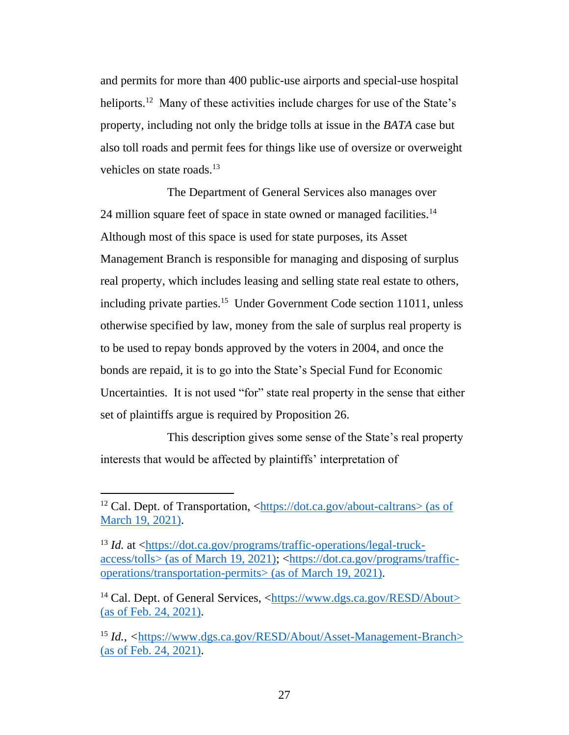and permits for more than 400 public-use airports and special-use hospital heliports.<sup>12</sup> Many of these activities include charges for use of the State's property, including not only the bridge tolls at issue in the *BATA* case but also toll roads and permit fees for things like use of oversize or overweight vehicles on state roads.<sup>13</sup>

The Department of General Services also manages over 24 million square feet of space in state owned or managed facilities.<sup>14</sup> Although most of this space is used for state purposes, its Asset Management Branch is responsible for managing and disposing of surplus real property, which includes leasing and selling state real estate to others, including private parties.<sup>15</sup> Under Government Code section 11011, unless otherwise specified by law, money from the sale of surplus real property is to be used to repay bonds approved by the voters in 2004, and once the bonds are repaid, it is to go into the State's Special Fund for Economic Uncertainties. It is not used "for" state real property in the sense that either set of plaintiffs argue is required by Proposition 26.

This description gives some sense of the State's real property interests that would be affected by plaintiffs' interpretation of

<sup>&</sup>lt;sup>12</sup> Cal. Dept. of Transportation,  $\langle \frac{https://dot.ca.gov/about-caltrans> (as of$ March 19, 2021).

<sup>&</sup>lt;sup>13</sup> *Id.* at [<https://dot.ca.gov/programs/traffic-operations/legal-truck](https://dot.ca.gov/programs/traffic-operations/legal-truck-access/tolls)[access/tolls>](https://dot.ca.gov/programs/traffic-operations/legal-truck-access/tolls) (as of March 19, 2021); [<https://dot.ca.gov/programs/traffic](https://dot.ca.gov/programs/traffic-operations/transportation-permits)[operations/transportation-permits>](https://dot.ca.gov/programs/traffic-operations/transportation-permits) (as of March 19, 2021).

<sup>&</sup>lt;sup>14</sup> Cal. Dept. of General Services, [<https://www.dgs.ca.gov/RESD/About>](https://www.dgs.ca.gov/RESD/About) (as of Feb. 24, 2021).

<sup>15</sup> *Id.*, *<*[https://www.dgs.ca.gov/RESD/About/Asset-Management-Branch>](https://www.dgs.ca.gov/RESD/About/Asset-Management-Branch) (as of Feb. 24, 2021).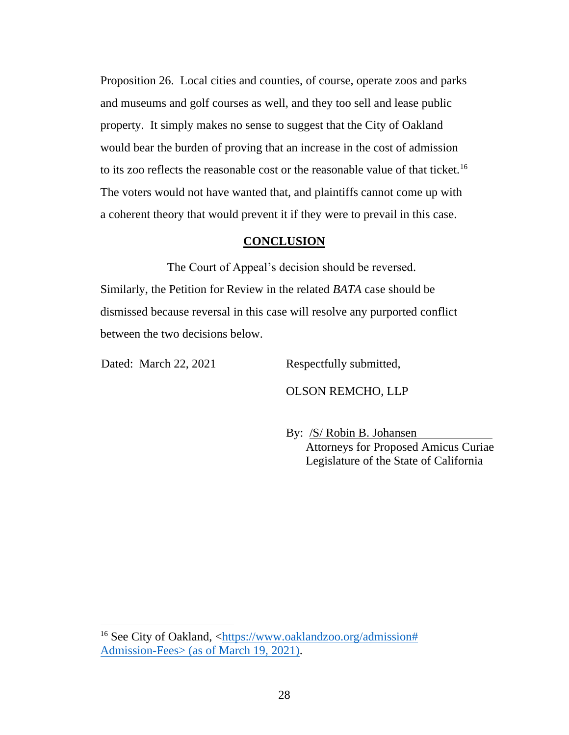Proposition 26. Local cities and counties, of course, operate zoos and parks and museums and golf courses as well, and they too sell and lease public property. It simply makes no sense to suggest that the City of Oakland would bear the burden of proving that an increase in the cost of admission to its zoo reflects the reasonable cost or the reasonable value of that ticket.<sup>16</sup> The voters would not have wanted that, and plaintiffs cannot come up with a coherent theory that would prevent it if they were to prevail in this case.

## **CONCLUSION**

The Court of Appeal's decision should be reversed. Similarly, the Petition for Review in the related *BATA* case should be dismissed because reversal in this case will resolve any purported conflict between the two decisions below.

Dated: March 22, 2021 Respectfully submitted,

OLSON REMCHO, LLP

By: /S/ Robin B. Johansen Attorneys for Proposed Amicus Curiae Legislature of the State of California

<sup>&</sup>lt;sup>16</sup> See City of Oakland, [<https://www.oaklandzoo.org/admission#](https://www.oaklandzoo.org/admission#Admission-Fees) [Admission-Fees>](https://www.oaklandzoo.org/admission#Admission-Fees) (as of March 19, 2021).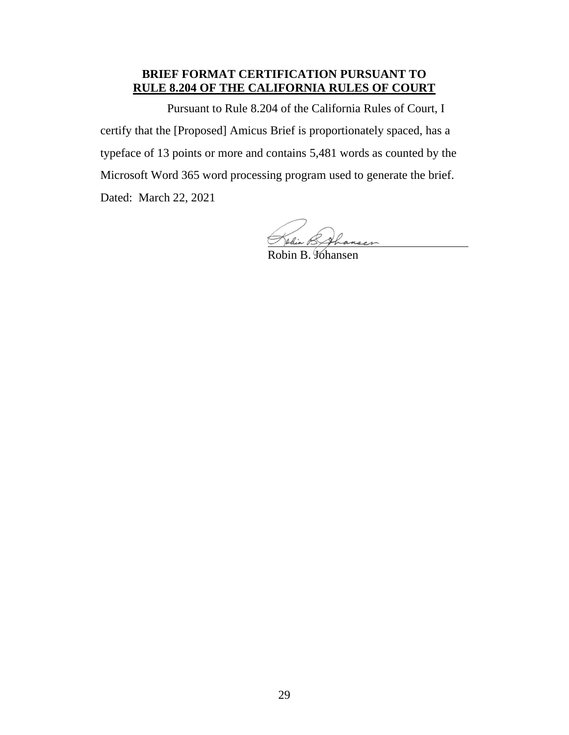## **BRIEF FORMAT CERTIFICATION PURSUANT TO RULE 8.204 OF THE CALIFORNIA RULES OF COURT**

Pursuant to Rule 8.204 of the California Rules of Court, I certify that the [Proposed] Amicus Brief is proportionately spaced, has a typeface of 13 points or more and contains 5,481 words as counted by the Microsoft Word 365 word processing program used to generate the brief. Dated: March 22, 2021

Salia.

Robin B. Johansen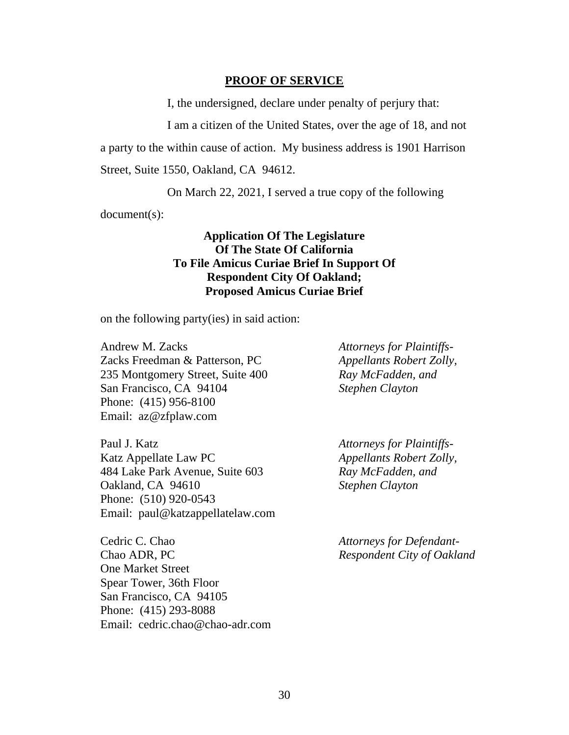#### **PROOF OF SERVICE**

I, the undersigned, declare under penalty of perjury that:

I am a citizen of the United States, over the age of 18, and not

a party to the within cause of action. My business address is 1901 Harrison

Street, Suite 1550, Oakland, CA 94612.

On March 22, 2021, I served a true copy of the following

document(s):

## **Application Of The Legislature Of The State Of California To File Amicus Curiae Brief In Support Of Respondent City Of Oakland; Proposed Amicus Curiae Brief**

on the following party(ies) in said action:

Andrew M. Zacks Zacks Freedman & Patterson, PC 235 Montgomery Street, Suite 400 San Francisco, CA 94104 Phone: (415) 956-8100 Email: az@zfplaw.com

Paul J. Katz Katz Appellate Law PC 484 Lake Park Avenue, Suite 603 Oakland, CA 94610 Phone: (510) 920-0543 Email: paul@katzappellatelaw.com

Cedric C. Chao Chao ADR, PC One Market Street Spear Tower, 36th Floor San Francisco, CA 94105 Phone: (415) 293-8088 Email: cedric.chao@chao-adr.com *Attorneys for Plaintiffs-Appellants Robert Zolly, Ray McFadden, and Stephen Clayton*

*Attorneys for Plaintiffs-Appellants Robert Zolly, Ray McFadden, and Stephen Clayton*

*Attorneys for Defendant-Respondent City of Oakland*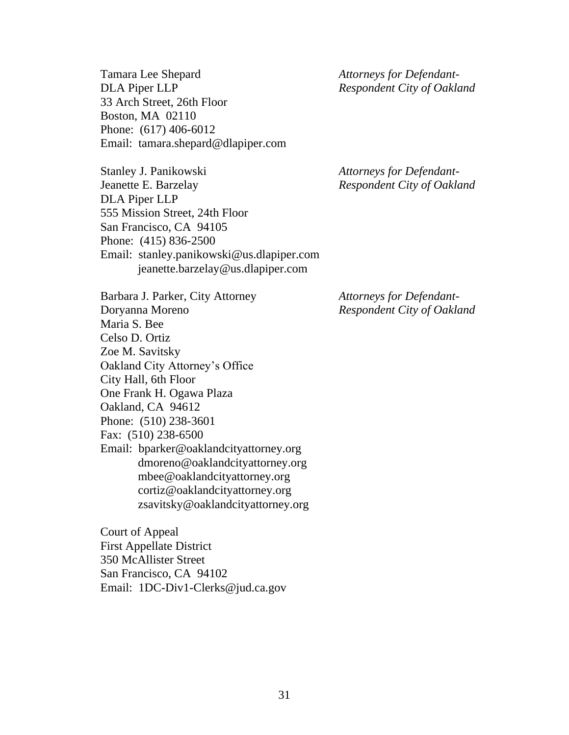Tamara Lee Shepard DLA Piper LLP 33 Arch Street, 26th Floor Boston, MA 02110 Phone: (617) 406-6012 Email: tamara.shepard@dlapiper.com

Stanley J. Panikowski Jeanette E. Barzelay DLA Piper LLP 555 Mission Street, 24th Floor San Francisco, CA 94105 Phone: (415) 836-2500 Email: stanley.panikowski@us.dlapiper.com jeanette.barzelay@us.dlapiper.com

Barbara J. Parker, City Attorney Doryanna Moreno Maria S. Bee Celso D. Ortiz

- Zoe M. Savitsky
- 
- Oakland City Attorney's Office
- City Hall, 6th Floor
- One Frank H. Ogawa Plaza
- Oakland, CA 94612
- Phone: (510) 238-3601
- Fax: (510) 238-6500
- Email: bparker@oaklandcityattorney.org dmoreno@oaklandcityattorney.org mbee@oaklandcityattorney.org cortiz@oaklandcityattorney.org zsavitsky@oaklandcityattorney.org

Court of Appeal First Appellate District 350 McAllister Street San Francisco, CA 94102 Email: 1DC-Div1-Clerks@jud.ca.gov *Attorneys for Defendant-Respondent City of Oakland*

*Attorneys for Defendant-Respondent City of Oakland*

*Attorneys for Defendant-Respondent City of Oakland*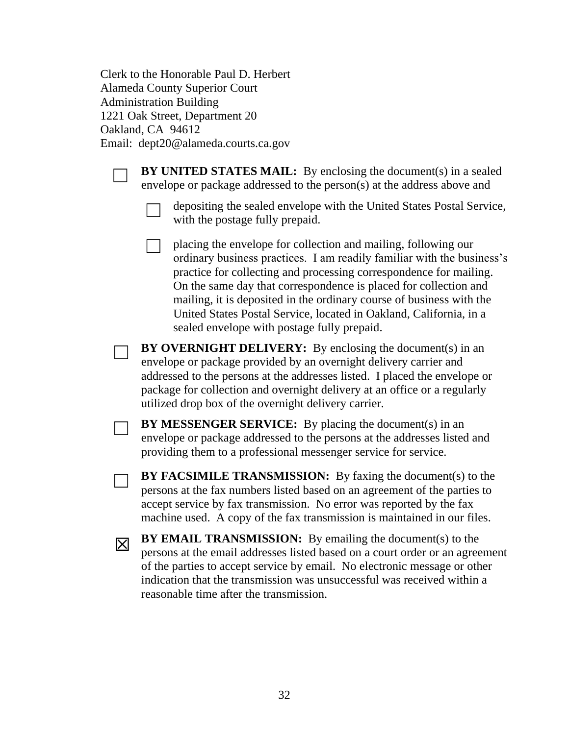Clerk to the Honorable Paul D. Herbert Alameda County Superior Court Administration Building 1221 Oak Street, Department 20 Oakland, CA 94612 Email: dept20@alameda.courts.ca.gov



**BY UNITED STATES MAIL:** By enclosing the document(s) in a sealed envelope or package addressed to the person(s) at the address above and



☐ depositing the sealed envelope with the United States Postal Service, with the postage fully prepaid.

☐ placing the envelope for collection and mailing, following our ordinary business practices. I am readily familiar with the business's practice for collecting and processing correspondence for mailing. On the same day that correspondence is placed for collection and mailing, it is deposited in the ordinary course of business with the United States Postal Service, located in Oakland, California, in a sealed envelope with postage fully prepaid.

**BY OVERNIGHT DELIVERY:** By enclosing the document(s) in an envelope or package provided by an overnight delivery carrier and addressed to the persons at the addresses listed. I placed the envelope or package for collection and overnight delivery at an office or a regularly utilized drop box of the overnight delivery carrier.

**BY MESSENGER SERVICE:** By placing the document(s) in an envelope or package addressed to the persons at the addresses listed and providing them to a professional messenger service for service.

**BY FACSIMILE TRANSMISSION:** By faxing the document(s) to the persons at the fax numbers listed based on an agreement of the parties to accept service by fax transmission. No error was reported by the fax machine used. A copy of the fax transmission is maintained in our files.

☒

**BY EMAIL TRANSMISSION:** By emailing the document(s) to the persons at the email addresses listed based on a court order or an agreement of the parties to accept service by email. No electronic message or other indication that the transmission was unsuccessful was received within a reasonable time after the transmission.